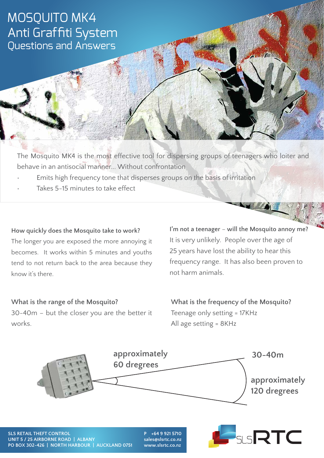## MOSQUITO MK4 Anti Graffiti System Questions and Answers

The Mosquito MK4 is the most effective tool for dispersing groups of teenagers who loiter and behave in an antisocial manner... Without confrontation

- Emits high frequency tone that disperses groups on the basis of irritation
- Takes 5-15 minutes to take effect

### **How quickly does the Mosquito take to work?**

The longer you are exposed the more annoying it becomes. It works within 5 minutes and youths tend to not return back to the area because they know it's there.

**I'm not a teenager** – **will the Mosquito annoy me?** It is very unlikely. People over the age of 25 years have lost the ability to hear this frequency range. It has also been proven to not harm animals.

**SECURITY GATE** 

## **What is the range of the Mosquito?** 30-40m – but the closer you are the better it works.

**What is the frequency of the Mosquito?** Teenage only setting = 17KHz All age setting = 8KHz



**SLS RETAIL THEFT CONTROL UNIT 5 / 25 AIRBORNE ROAD | ALBANY PO BOX 302-426 | NORTH HARBOUR | AUCKLAND 0751**

**P +64 9 921 5710 sales@slsrtc.co.nz**